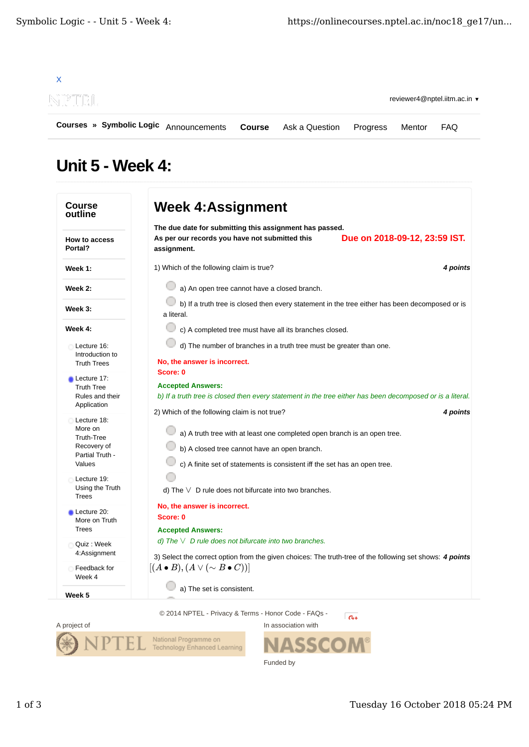

## Unit 5 - Week 4:

| <b>Course</b><br>outline         | <b>Week 4:Assignment</b>                                                                                                                                               |  |  |
|----------------------------------|------------------------------------------------------------------------------------------------------------------------------------------------------------------------|--|--|
| <b>How to access</b>             | The due date for submitting this assignment has passed.<br>Due on 2018-09-12, 23:59 IST.<br>As per our records you have not submitted this                             |  |  |
| Portal?                          | assignment.                                                                                                                                                            |  |  |
| Week 1:                          | 1) Which of the following claim is true?<br>4 points                                                                                                                   |  |  |
| Week 2:                          | a) An open tree cannot have a closed branch.<br>b) If a truth tree is closed then every statement in the tree either has been decomposed or is<br>a literal.           |  |  |
| Week 3:                          |                                                                                                                                                                        |  |  |
| Week 4:                          | c) A completed tree must have all its branches closed.                                                                                                                 |  |  |
| Lecture 16:<br>Introduction to   | d) The number of branches in a truth tree must be greater than one.                                                                                                    |  |  |
| <b>Truth Trees</b>               | No, the answer is incorrect.                                                                                                                                           |  |  |
| Lecture 17:<br><b>Truth Tree</b> | Score: 0<br><b>Accepted Answers:</b>                                                                                                                                   |  |  |
| Rules and their<br>Application   | b) If a truth tree is closed then every statement in the tree either has been decomposed or is a literal.                                                              |  |  |
| Lecture 18:                      | 2) Which of the following claim is not true?<br>4 points                                                                                                               |  |  |
| More on<br>Truth-Tree            | a) A truth tree with at least one completed open branch is an open tree.                                                                                               |  |  |
| Recovery of<br>Partial Truth -   | b) A closed tree cannot have an open branch.                                                                                                                           |  |  |
| Values                           | c) A finite set of statements is consistent iff the set has an open tree.                                                                                              |  |  |
| Lecture 19:<br>Using the Truth   |                                                                                                                                                                        |  |  |
| <b>Trees</b>                     | d) The $\vee$ D rule does not bifurcate into two branches.                                                                                                             |  |  |
| Lecture 20:<br>More on Truth     | No, the answer is incorrect.<br>Score: 0                                                                                                                               |  |  |
| <b>Trees</b>                     | <b>Accepted Answers:</b>                                                                                                                                               |  |  |
| Quiz : Week<br>4:Assignment      | d) The $\vee$ D rule does not bifurcate into two branches.<br>3) Select the correct option from the given choices: The truth-tree of the following set shows: 4 points |  |  |
| Feedback for<br>Week 4           | $[(A \bullet B), (A \vee (\sim B \bullet C))]$                                                                                                                         |  |  |
|                                  | a) The set is consistent.                                                                                                                                              |  |  |





**ASSCOM®** Funded by

In association with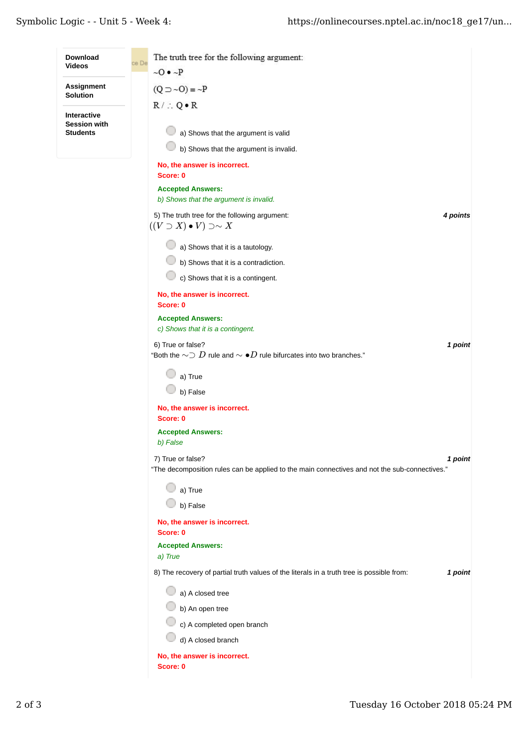÷.

| Download                               | The truth tree for the following argument:<br>ce De                                                                           |
|----------------------------------------|-------------------------------------------------------------------------------------------------------------------------------|
| Videos                                 | $\sim$ O $\bullet$ $\sim$ P                                                                                                   |
| Assignment<br>Solution                 | $(Q \supset \sim O) \equiv \sim P$                                                                                            |
| Interactive                            | $R / \therefore Q \cdot R$                                                                                                    |
| <b>Session with</b><br><b>Students</b> | a) Shows that the argument is valid                                                                                           |
|                                        | b) Shows that the argument is invalid.                                                                                        |
|                                        | No, the answer is incorrect.<br>Score: 0                                                                                      |
|                                        | <b>Accepted Answers:</b>                                                                                                      |
|                                        | b) Shows that the argument is invalid.                                                                                        |
|                                        | 5) The truth tree for the following argument:<br>4 points<br>$((V \supset X) \bullet V) \supset \sim X$                       |
|                                        | a) Shows that it is a tautology.                                                                                              |
|                                        | b) Shows that it is a contradiction.                                                                                          |
|                                        | c) Shows that it is a contingent.                                                                                             |
|                                        | No, the answer is incorrect.<br>Score: 0                                                                                      |
|                                        | <b>Accepted Answers:</b>                                                                                                      |
|                                        | c) Shows that it is a contingent.                                                                                             |
|                                        | 6) True or false?<br>1 point<br>"Both the $\sim \supset D$ rule and $\sim \bullet D$ rule bifurcates into two branches."      |
|                                        | a) True                                                                                                                       |
|                                        | b) False                                                                                                                      |
|                                        | No, the answer is incorrect.                                                                                                  |
|                                        | Score: 0<br><b>Accepted Answers:</b>                                                                                          |
|                                        | b) False                                                                                                                      |
|                                        | 7) True or false?<br>1 point<br>"The decomposition rules can be applied to the main connectives and not the sub-connectives." |
|                                        | a) True                                                                                                                       |
|                                        | b) False                                                                                                                      |
|                                        | No, the answer is incorrect.<br>Score: 0                                                                                      |
|                                        | <b>Accepted Answers:</b>                                                                                                      |
|                                        | a) True                                                                                                                       |
|                                        | 8) The recovery of partial truth values of the literals in a truth tree is possible from:<br>1 point                          |
|                                        | a) A closed tree                                                                                                              |
|                                        | b) An open tree                                                                                                               |
|                                        | c) A completed open branch                                                                                                    |
|                                        | d) A closed branch                                                                                                            |
|                                        | No, the answer is incorrect.<br>Score: 0                                                                                      |